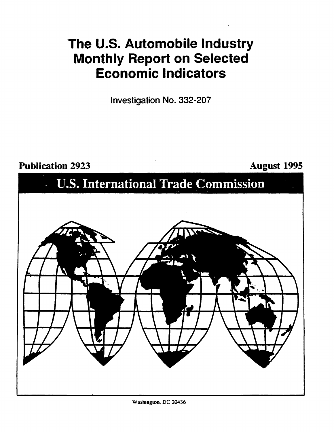## 'The U.S. Automobile Industry Monthly Report on Selected Economic Indicators

Investigation No. 332-207

## Publication 2923 **August 1995**

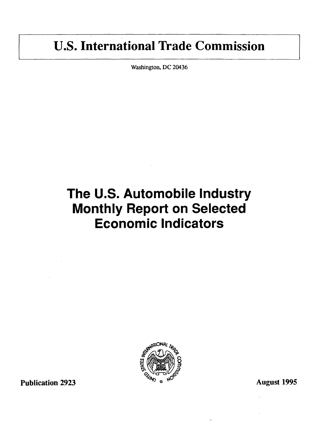## U.S. International Trade Commission

Washington, DC 20436

# The U.S. Automobile Industry Monthly Report on Selected Economic Indicators



Publication 2923  $\frac{1}{2}$   $\frac{1}{2}$  August 1995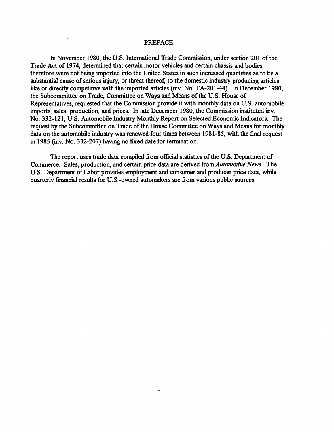#### PREFACE

In November 1980, the U.S. International Trade Commission, under section 201 of the Trade Act of 1974, determined that certain motor vehicles and certain chassis and bodies therefore were not being imported into the United States in such increased quantities as to be a substantial cause of serious injury, or threat thereof, to the domestic industry producing articles like or directly competitive with the imported articles (inv. No. TA-201-44). In December 1980, the Subcommittee on Trade, Committee on Ways and Means of the U.S. House of Representatives, requested that the Commission provide it with monthly data on U.S. automobile imports, sales, production, and prices. In late December 1980, the Commission instituted inv. No. 332-121, U.S. Automobile Industry Monthly Report on Selected Economic Indicators. The request by the Subcommittee on Trade of the House Committee on Ways and Means for monthly data on the automobile industry was renewed four times between 1981-85, with the final request in 1985 (inv. No. 332-207) having no fixed date for termination.

The report uses trade data compiled from official statistics of the U.S. Department of Commerce. Sales, production, and certain price data are derived from *Automotive News.* The U.S. Department of Labor provides employment and consumer and producer price data, while quarterly financial results for U.S.-owned automakers are from various public sources.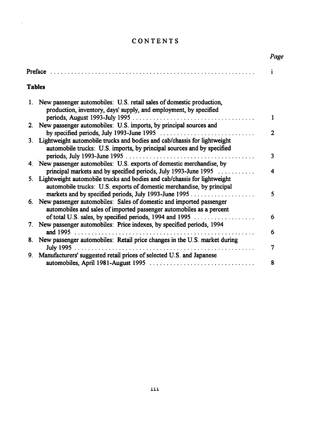## CONTENTS

 $\sim 10^{11}$ 

|               |                                                                                                                                                    | Page |
|---------------|----------------------------------------------------------------------------------------------------------------------------------------------------|------|
|               |                                                                                                                                                    | i    |
| <b>Tables</b> |                                                                                                                                                    |      |
|               | 1. New passenger automobiles: U.S. retail sales of domestic production,<br>production, inventory, days' supply, and employment, by specified       |      |
|               |                                                                                                                                                    | 1    |
|               | 2. New passenger automobiles: U.S. imports, by principal sources and                                                                               |      |
|               | by specified periods, July 1993-June 1995                                                                                                          | 2    |
| 3.            | Lightweight automobile trucks and bodies and cab/chassis for lightweight<br>automobile trucks: U.S. imports, by principal sources and by specified |      |
|               |                                                                                                                                                    | 3    |
|               | 4. New passenger automobiles: U.S. exports of domestic merchandise, by                                                                             |      |
|               | principal markets and by specified periods, July 1993-June 1995                                                                                    | 4    |
|               | 5. Lightweight automobile trucks and bodies and cab/chassis for lightweight                                                                        |      |
|               | automobile trucks: U.S. exports of domestic merchandise, by principal                                                                              |      |
|               |                                                                                                                                                    | 5    |
|               | 6. New passenger automobiles: Sales of domestic and imported passenger                                                                             |      |
|               | automobiles and sales of imported passenger automobiles as a percent                                                                               |      |
|               | of total U.S. sales, by specified periods, 1994 and 1995                                                                                           | 6    |
| $7_{\cdot}$   | New passenger automobiles: Price indexes, by specified periods, 1994                                                                               |      |
|               | and 1995                                                                                                                                           | 6    |
| 8.            | New passenger automobiles: Retail price changes in the U.S. market during                                                                          |      |
|               |                                                                                                                                                    | 7    |
| 9.            | Manufacturers' suggested retail prices of selected U.S. and Japanese                                                                               |      |
|               |                                                                                                                                                    | 8    |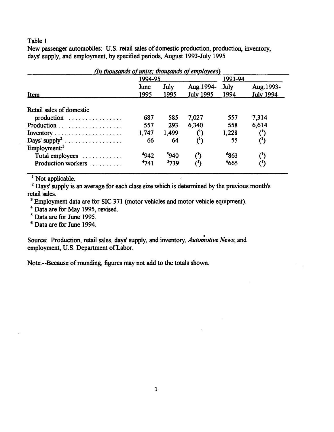New passenger automobiles: U.S. retail sales of domestic production, production, inventory, days' supply, and employment, by specified periods, August 1993-July 1995

| (In thousands of units; thousands of employees) |              |                  |                                   |                  |                                |  |
|-------------------------------------------------|--------------|------------------|-----------------------------------|------------------|--------------------------------|--|
|                                                 | 1994-95      |                  |                                   |                  | 1993-94                        |  |
| Item                                            | June<br>1995 | July<br>1995     | Aug. 1994- July<br>July 1995 1994 |                  | Aug. 1993-<br><b>July 1994</b> |  |
| Retail sales of domestic                        |              |                  |                                   |                  |                                |  |
|                                                 | 687          | 585              | 7,027                             | 557              | 7,314                          |  |
|                                                 | 557          | 293              | 6,340                             | 558              | 6,614                          |  |
|                                                 | 1,747        | 1,499            |                                   | 1,228            |                                |  |
| Days' supply <sup>2</sup>                       | 66           | 64               |                                   | 55               |                                |  |
| Employment: <sup>3</sup>                        |              |                  |                                   |                  |                                |  |
| Total employees                                 | 4942         | <sup>5</sup> 940 | $^{\prime}$                       | <sup>6</sup> 863 | $(^1)$                         |  |
| Production workers                              | 4741         | 5739             | $^{\text{}}$ ( $^{\text{}}$ )     | 665              | $(^1)$                         |  |

 $\overline{1}$  Not applicable.

<sup>2</sup> Days' supply is an average for each class size which is determined by the previous month's retail sales.

<sup>3</sup> Employment data are for SIC 371 (motor vehicles and motor vehicle equipment).

4 Data are for May 1995, revised.

5 Data are for June 1995.

<sup>6</sup>Data are for June 1994.

Source: Production, retail sales, days' supply, and inventory, *Automotive News*; and employment, U.S. Department of Labor.

Note.--Because of rounding, figures may not add to the totals shown.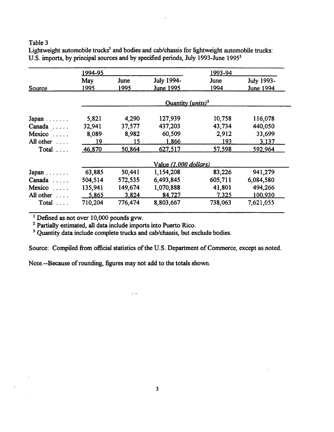Lightweight automobile trucks<sup>1</sup> and bodies and cab/chassis for lightweight automobile trucks: U.S. imports, by principal sources and by specified periods, July 1993-June 1995<sup>2</sup>

|                | 1994-95                                |         |                       | 1993-94 |                  |
|----------------|----------------------------------------|---------|-----------------------|---------|------------------|
|                | May                                    | June    | July 1994-            | June    | July 1993-       |
| Source         | 1995                                   | 1995    | <b>June 1995</b>      | 1994    | <b>June 1994</b> |
|                | Quantity ( <i>units</i> ) <sup>3</sup> |         |                       |         |                  |
| Japan          | 5,821                                  | 4,290   | 127,939               | 10,758  | 116,078          |
| Canada         | 32,941                                 | 37,577  | 437,203               | 43,734  | 440,050          |
| Mexico         | 8,089                                  | 8,982   | 60,509                | 2,912   | 33,699           |
| All other      | 19                                     | 15      | 1,866                 | 193     | 3,137            |
| Total          | 46,870                                 | 50,864  | 627,517               | 57,598  | 592,964          |
|                |                                        |         | Value (1,000 dollars) |         |                  |
| Japan          | 63,885                                 | 50,441  | 1,154,208             | 83,226  | 941,279          |
| $Canada \dots$ | 504,514                                | 572,535 | 6,493,845             | 605,711 | 6,084,580        |
| $Mexico$       | 135,941                                | 149,674 | 1,070,888             | 41,801  | 494,266          |
| All other      | 5,865                                  | 3,824   | 84,727                | 7,325   | 100,930          |
| Total          | 710,204                                | 776,474 | 8,803,667             | 738,063 | 7,621,055        |

<sup>1</sup> Defined as not over 10,000 pounds gvw.

<sup>2</sup> Partially estimated, all data include imports into Puerto Rico.

<sup>3</sup> Quantity data include complete trucks and cab/chassis, but exclude bodies.

 $\sim$ 

Source: Compiled from official statistics of the U.S. Department of Commerce, except as noted.

Note.--Because of rounding, figures may not add to the totals shown.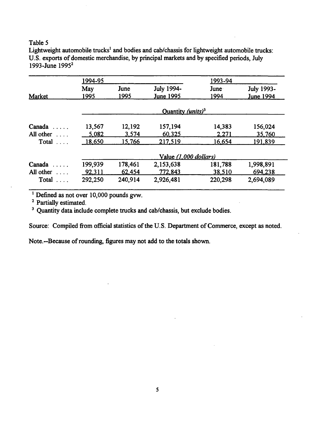Lightweight automobile trucks<sup>1</sup> and bodies and cab/chassis for lightweight automobile trucks: U.S. exports of domestic merchandise, by principal markets and by specified periods, July 1993-June 1995<sup>2</sup>

|                   | 1994-95 |                       | 1993-94                       |         |                  |  |
|-------------------|---------|-----------------------|-------------------------------|---------|------------------|--|
|                   | May     | June                  | July 1994-                    | June    | July 1993-       |  |
| Market            | 1995    | 1995                  | June 1995                     | 1994    | <b>June 1994</b> |  |
|                   |         |                       | Quantity (units) <sup>3</sup> |         |                  |  |
| Canada            | 13,567  | 12,192                | 157,194                       | 14,383  | 156,024          |  |
| All other         | 5,082   | 3,574                 | 60,325                        | 2,271   | 35,760           |  |
| Total $\ldots$ .  | 18,650  | 15,766                | 217,519                       | 16,654  | 191.839          |  |
|                   |         | Value (1,000 dollars) |                               |         |                  |  |
| Canada            | 199,939 | 178,461               | 2,153,638                     | 181,788 | 1,998,891        |  |
| All other $\dots$ | 92,311  | 62,454                | 772,843                       | 38,510  | 694,238          |  |
| Total $\ldots$ .  | 292,250 | 240,914               | 2,926,481                     | 220,298 | 2,694,089        |  |

<sup>1</sup> Defined as not over 10,000 pounds gvw.

2 Partially estimated.

<sup>3</sup> Quantity data include complete trucks and cab/chassis, but exclude bodies.

Source: Compiled from official statistics of the U.S. Department of Commerce, except as noted.

Note.--Because of rounding, figures may not add to the totals shown.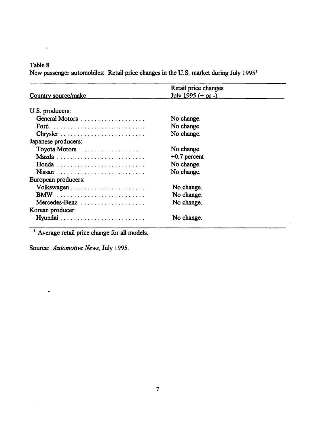$\Diamond$ 

New passenger automobiles: Retail price changes in the U.S. market during July 1995<sup>1</sup>

|                     | Retail price changes |  |
|---------------------|----------------------|--|
| Country source/make | July 1995 $(+ or -)$ |  |
|                     |                      |  |
| U.S. producers:     |                      |  |
| General Motors      | No change.           |  |
|                     | No change.           |  |
|                     | No change.           |  |
| Japanese producers: |                      |  |
| Toyota Motors       | No change.           |  |
|                     | $+0.7$ percent       |  |
|                     | No change.           |  |
|                     | No change.           |  |
| European producers: |                      |  |
|                     | No change.           |  |
|                     | No change.           |  |
| Mercedes-Benz       | No change.           |  |
| Korean producer:    |                      |  |
|                     | No change.           |  |

 $\bar{\beta}$ 

<sup>1</sup> Average retail price change for all models.

Source: *Automotive News,* July 1995.

 $\bullet$ 

 $\cdot$